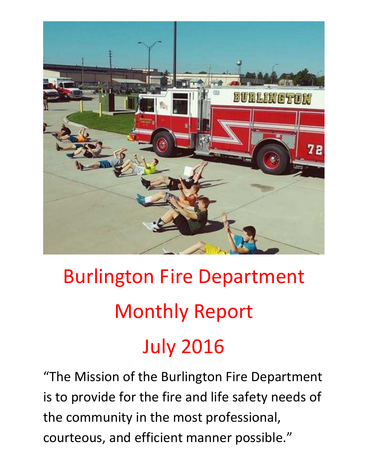

# Burlington Fire Department Monthly Report July 2016

"The Mission of the Burlington Fire Department is to provide for the fire and life safety needs of the community in the most professional, courteous, and efficient manner possible."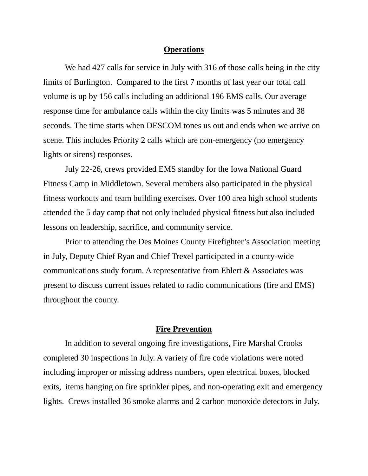#### **Operations**

We had 427 calls for service in July with 316 of those calls being in the city limits of Burlington. Compared to the first 7 months of last year our total call volume is up by 156 calls including an additional 196 EMS calls. Our average response time for ambulance calls within the city limits was 5 minutes and 38 seconds. The time starts when DESCOM tones us out and ends when we arrive on scene. This includes Priority 2 calls which are non-emergency (no emergency lights or sirens) responses.

 July 22-26, crews provided EMS standby for the Iowa National Guard Fitness Camp in Middletown. Several members also participated in the physical fitness workouts and team building exercises. Over 100 area high school students attended the 5 day camp that not only included physical fitness but also included lessons on leadership, sacrifice, and community service.

 Prior to attending the Des Moines County Firefighter's Association meeting in July, Deputy Chief Ryan and Chief Trexel participated in a county-wide communications study forum. A representative from Ehlert & Associates was present to discuss current issues related to radio communications (fire and EMS) throughout the county.

#### **Fire Prevention**

 In addition to several ongoing fire investigations, Fire Marshal Crooks completed 30 inspections in July. A variety of fire code violations were noted including improper or missing address numbers, open electrical boxes, blocked exits, items hanging on fire sprinkler pipes, and non-operating exit and emergency lights. Crews installed 36 smoke alarms and 2 carbon monoxide detectors in July.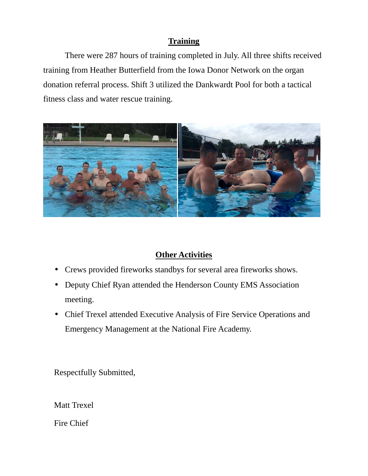## **Training**

 There were 287 hours of training completed in July. All three shifts received training from Heather Butterfield from the Iowa Donor Network on the organ donation referral process. Shift 3 utilized the Dankwardt Pool for both a tactical fitness class and water rescue training.



## **Other Activities**

- Crews provided fireworks standbys for several area fireworks shows.
- Deputy Chief Ryan attended the Henderson County EMS Association meeting.
- Chief Trexel attended Executive Analysis of Fire Service Operations and Emergency Management at the National Fire Academy.

Respectfully Submitted,

Matt Trexel

Fire Chief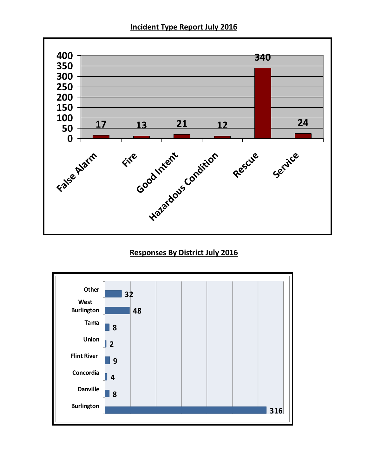**Incident Type Report July 2016** 



#### **Responses By District July 2016**

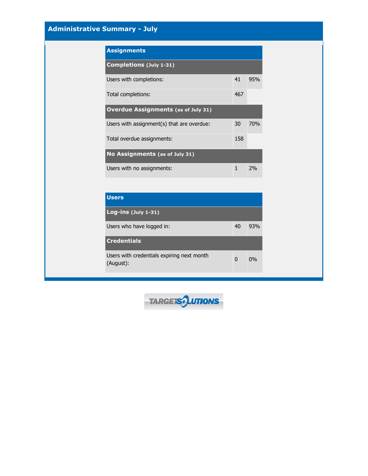### **Administrative Summary - July**

| <b>Assignments</b>                         |              |            |
|--------------------------------------------|--------------|------------|
| <b>Completions (July 1-31)</b>             |              |            |
| Users with completions:                    | 41           | 95%        |
| Total completions:                         | 467          |            |
| <b>Overdue Assignments (as of July 31)</b> |              |            |
| Users with assignment(s) that are overdue: | 30           | <b>70%</b> |
| Total overdue assignments:                 | 158          |            |
| No Assignments (as of July 31)             |              |            |
| Users with no assignments:                 | $\mathbf{1}$ | 2%         |

| <b>Users</b>                                            |    |     |
|---------------------------------------------------------|----|-----|
| Log-ins $(\text{July } 1-31)$                           |    |     |
| Users who have logged in:                               | 40 | 93% |
| <b>Credentials</b>                                      |    |     |
| Users with credentials expiring next month<br>(August): | 0  | 0%  |

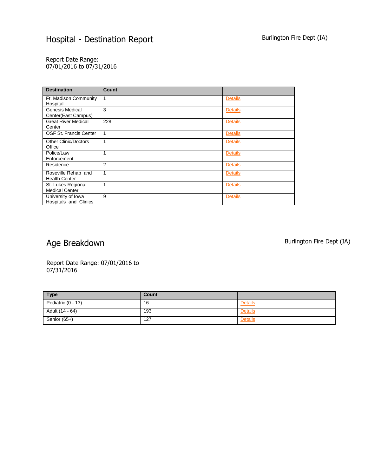Report Date Range: 07/01/2016 to 07/31/2016

| <b>Destination</b>                            | <b>Count</b>   |                |
|-----------------------------------------------|----------------|----------------|
| Ft. Madison Community<br>Hospital             | 1              | <b>Details</b> |
| <b>Genesis Medical</b><br>Center(East Campus) | 3              | <b>Details</b> |
| <b>Great River Medical</b><br>Center          | 228            | <b>Details</b> |
| OSF St. Francis Center                        |                | <b>Details</b> |
| <b>Other Clinic/Doctors</b><br>Office         |                | <b>Details</b> |
| Police/Law<br>Enforcement                     |                | <b>Details</b> |
| Residence                                     | $\overline{2}$ | <b>Details</b> |
| Roseville Rehab and<br><b>Health Center</b>   | 1              | <b>Details</b> |
| St. Lukes Regional<br><b>Medical Center</b>   |                | <b>Details</b> |
| University of Iowa<br>Hospitals and Clinics   | 9              | <b>Details</b> |

## Age Breakdown and the state of the Burlington Fire Dept (IA)

Report Date Range: 07/01/2016 to 07/31/2016

| <b>Type</b>          | Count |                |
|----------------------|-------|----------------|
| Pediatric $(0 - 13)$ | 16    | <b>Details</b> |
| Adult (14 - 64)      | 193   | <b>Details</b> |
| Senior (65+)         | 127   | <b>Details</b> |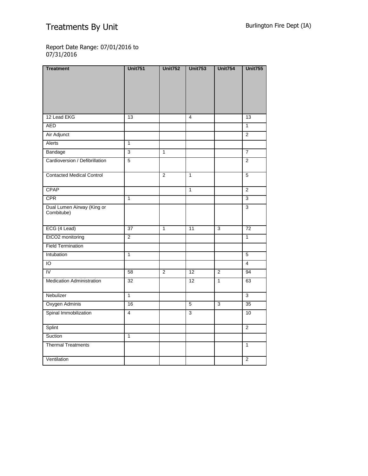# Treatments By Unit Burlington Fire Dept (IA)

Report Date Range: 07/01/2016 to 07/31/2016

| <b>Treatment</b>                         | <b>Unit751</b>  | <b>Unit752</b> | <b>Unit753</b> | <b>Unit754</b> | <b>Unit755</b>  |
|------------------------------------------|-----------------|----------------|----------------|----------------|-----------------|
|                                          |                 |                |                |                |                 |
|                                          |                 |                |                |                |                 |
|                                          |                 |                |                |                |                 |
|                                          |                 |                |                |                |                 |
| 12 Lead EKG                              | 13              |                | $\overline{4}$ |                | 13              |
| <b>AED</b>                               |                 |                |                |                | $\overline{1}$  |
| Air Adjunct                              |                 |                |                |                | $\overline{2}$  |
| Alerts                                   | $\overline{1}$  |                |                |                |                 |
| Bandage                                  | 3               | $\mathbf{1}$   |                |                | $\overline{7}$  |
| Cardioversion / Defibrillation           | $\overline{5}$  |                |                |                | $\overline{2}$  |
|                                          |                 |                |                |                |                 |
| <b>Contacted Medical Control</b>         |                 | $\overline{2}$ | $\mathbf{1}$   |                | 5               |
| CPAP                                     |                 |                | $\mathbf{1}$   |                | $\overline{2}$  |
|                                          |                 |                |                |                |                 |
| <b>CPR</b>                               | $\mathbf{1}$    |                |                |                | $\overline{3}$  |
| Dual Lumen Airway (King or<br>Combitube) |                 |                |                |                | $\overline{3}$  |
|                                          |                 |                |                |                |                 |
| ECG (4 Lead)                             | $\overline{37}$ | $\mathbf{1}$   | 11             | 3              | $\overline{72}$ |
| EtCO2 monitoring                         | $\overline{2}$  |                |                |                | $\overline{1}$  |
| <b>Field Termination</b>                 |                 |                |                |                |                 |
| Intubation                               | $\mathbf{1}$    |                |                |                | $\overline{5}$  |
| IO                                       |                 |                |                |                | $\overline{4}$  |
| IV                                       | 58              | 2              | 12             | $\mathbf{2}$   | 94              |
| <b>Medication Administration</b>         | 32              |                | 12             | $\mathbf{1}$   | 63              |
|                                          |                 |                |                |                |                 |
| Nebulizer                                | $\mathbf{1}$    |                |                |                | $\overline{3}$  |
| Oxygen Adminis                           | 16              |                | 5              | $\overline{3}$ | 35              |
| Spinal Immobilization                    | 4               |                | 3              |                | 10              |
| Splint                                   |                 |                |                |                | $\overline{2}$  |
| Suction                                  | $\overline{1}$  |                |                |                |                 |
| <b>Thermal Treatments</b>                |                 |                |                |                | $\mathbf{1}$    |
|                                          |                 |                |                |                |                 |
| Ventilation                              |                 |                |                |                | $\overline{2}$  |
|                                          |                 |                |                |                |                 |